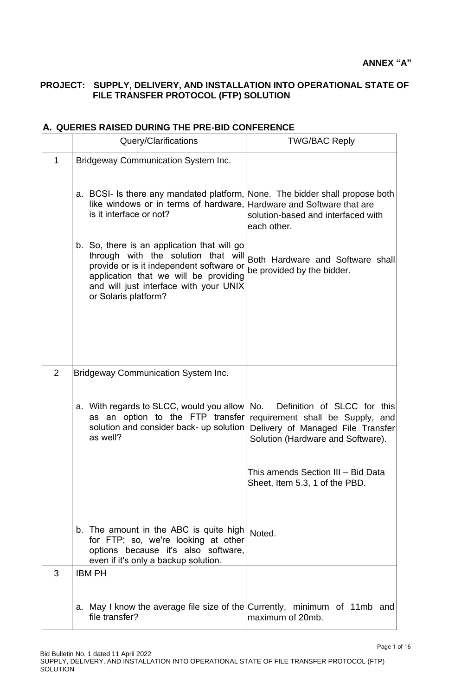## **PROJECT: SUPPLY, DELIVERY, AND INSTALLATION INTO OPERATIONAL STATE OF FILE TRANSFER PROTOCOL (FTP) SOLUTION**

|                | Query/Clarifications                                                                                                                                                                                                                                                       | <b>TWG/BAC Reply</b>                                                                                                                             |
|----------------|----------------------------------------------------------------------------------------------------------------------------------------------------------------------------------------------------------------------------------------------------------------------------|--------------------------------------------------------------------------------------------------------------------------------------------------|
|                |                                                                                                                                                                                                                                                                            |                                                                                                                                                  |
| 1              | <b>Bridgeway Communication System Inc.</b>                                                                                                                                                                                                                                 |                                                                                                                                                  |
|                | a. BCSI- Is there any mandated platform, None. The bidder shall propose both<br>like windows or in terms of hardware, Hardware and Software that are<br>is it interface or not?                                                                                            | solution-based and interfaced with<br>each other.                                                                                                |
|                | b. So, there is an application that will go<br>through with the solution that will Both Hardware and Software shall<br>provide or is it independent software or<br>application that we will be providing<br>and will just interface with your UNIX<br>or Solaris platform? | be provided by the bidder.                                                                                                                       |
|                |                                                                                                                                                                                                                                                                            |                                                                                                                                                  |
| $\overline{2}$ | <b>Bridgeway Communication System Inc.</b>                                                                                                                                                                                                                                 |                                                                                                                                                  |
|                | a. With regards to SLCC, would you allow<br>as an option to the FTP transfer<br>solution and consider back- up solution<br>as well?                                                                                                                                        | No.<br>Definition of SLCC for this<br>requirement shall be Supply, and<br>Delivery of Managed File Transfer<br>Solution (Hardware and Software). |
|                |                                                                                                                                                                                                                                                                            | This amends Section III - Bid Data<br>Sheet, Item 5.3, 1 of the PBD.                                                                             |
|                | b. The amount in the ABC is quite high<br>for FTP; so, we're looking at other<br>options because it's also software,<br>even if it's only a backup solution.                                                                                                               | Noted.                                                                                                                                           |
| 3              | <b>IBM PH</b>                                                                                                                                                                                                                                                              |                                                                                                                                                  |
|                | a. May I know the average file size of the Currently, minimum of 11mb and<br>file transfer?                                                                                                                                                                                | maximum of 20mb.                                                                                                                                 |

## **A. QUERIES RAISED DURING THE PRE-BID CONFERENCE**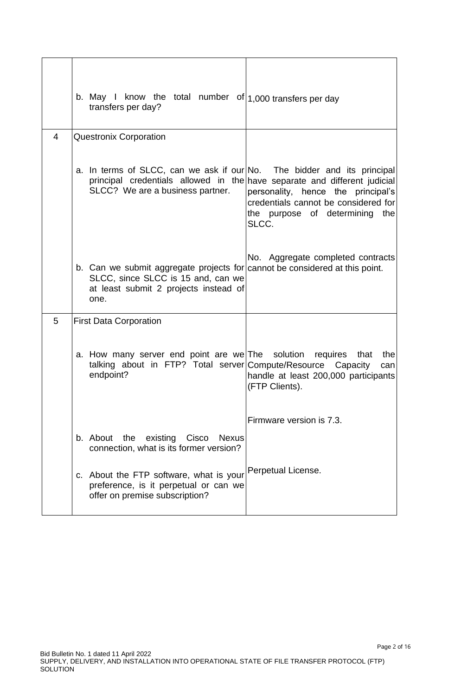|                | b. May I know the total number of $ 1,000$ transfers per day<br>transfers per day?                                                                                                       |                                                                                                                       |
|----------------|------------------------------------------------------------------------------------------------------------------------------------------------------------------------------------------|-----------------------------------------------------------------------------------------------------------------------|
| $\overline{4}$ | <b>Questronix Corporation</b>                                                                                                                                                            |                                                                                                                       |
|                | a. In terms of SLCC, can we ask if our No. The bidder and its principal<br>principal credentials allowed in the have separate and different judicial<br>SLCC? We are a business partner. | personality, hence the principal's<br>credentials cannot be considered for<br>the purpose of determining the<br>SLCC. |
|                | b. Can we submit aggregate projects for cannot be considered at this point.<br>SLCC, since SLCC is 15 and, can we<br>at least submit 2 projects instead of<br>one.                       | No. Aggregate completed contracts                                                                                     |
| 5              | <b>First Data Corporation</b>                                                                                                                                                            |                                                                                                                       |
|                | a. How many server end point are we The solution requires that<br>talking about in FTP? Total server Compute/Resource<br>endpoint?                                                       | the<br>Capacity<br>can<br>handle at least 200,000 participants<br>(FTP Clients).                                      |
|                |                                                                                                                                                                                          | Firmware version is 7.3.                                                                                              |
|                | Cisco<br>b. About<br>the<br>existing<br><b>Nexus</b><br>connection, what is its former version?                                                                                          |                                                                                                                       |
|                | c. About the FTP software, what is your<br>preference, is it perpetual or can we<br>offer on premise subscription?                                                                       | Perpetual License.                                                                                                    |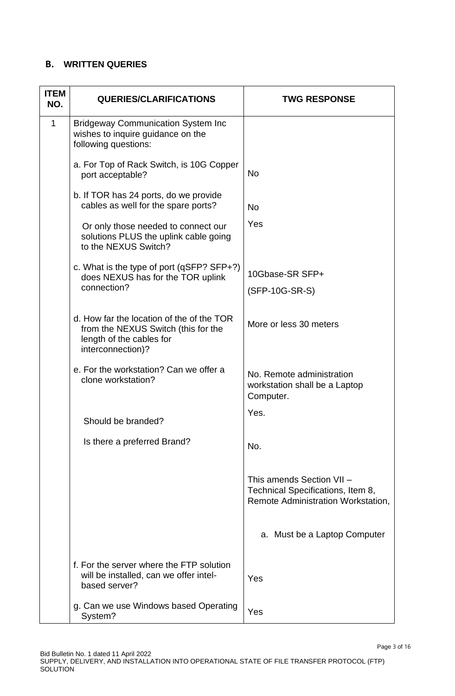## **B. WRITTEN QUERIES**

| <b>ITEM</b><br>NO. | <b>QUERIES/CLARIFICATIONS</b>                                                                                                     | <b>TWG RESPONSE</b>                                                                                  |
|--------------------|-----------------------------------------------------------------------------------------------------------------------------------|------------------------------------------------------------------------------------------------------|
| $\mathbf{1}$       | <b>Bridgeway Communication System Inc</b><br>wishes to inquire guidance on the<br>following questions:                            |                                                                                                      |
|                    | a. For Top of Rack Switch, is 10G Copper<br>port acceptable?                                                                      | <b>No</b>                                                                                            |
|                    | b. If TOR has 24 ports, do we provide<br>cables as well for the spare ports?                                                      | <b>No</b>                                                                                            |
|                    | Or only those needed to connect our<br>solutions PLUS the uplink cable going<br>to the NEXUS Switch?                              | Yes                                                                                                  |
|                    | c. What is the type of port (qSFP? SFP+?)<br>does NEXUS has for the TOR uplink                                                    | 10Gbase-SR SFP+                                                                                      |
|                    | connection?                                                                                                                       | (SFP-10G-SR-S)                                                                                       |
|                    | d. How far the location of the of the TOR<br>from the NEXUS Switch (this for the<br>length of the cables for<br>interconnection)? | More or less 30 meters                                                                               |
|                    | e. For the workstation? Can we offer a<br>clone workstation?                                                                      | No. Remote administration<br>workstation shall be a Laptop<br>Computer.                              |
|                    | Should be branded?                                                                                                                | Yes.                                                                                                 |
|                    | Is there a preferred Brand?                                                                                                       | No.                                                                                                  |
|                    |                                                                                                                                   | This amends Section VII -<br>Technical Specifications, Item 8,<br>Remote Administration Workstation, |
|                    |                                                                                                                                   | a. Must be a Laptop Computer                                                                         |
|                    | f. For the server where the FTP solution<br>will be installed, can we offer intel-<br>based server?                               | Yes                                                                                                  |
|                    | g. Can we use Windows based Operating<br>System?                                                                                  | Yes                                                                                                  |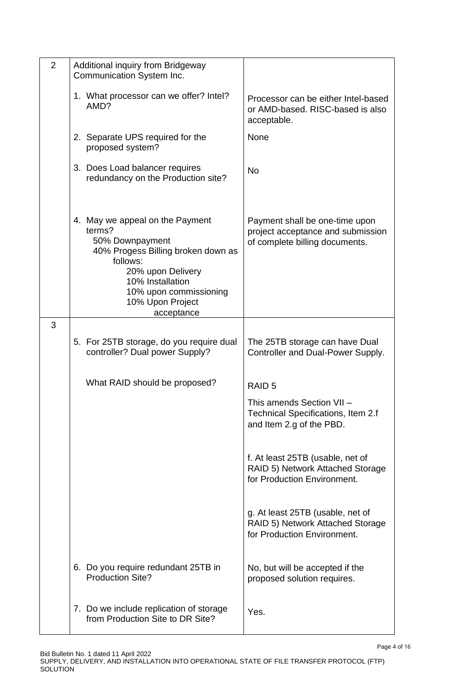| $\overline{2}$ | Additional inquiry from Bridgeway<br>Communication System Inc.                                                                                                                                                      |                                                                                                       |
|----------------|---------------------------------------------------------------------------------------------------------------------------------------------------------------------------------------------------------------------|-------------------------------------------------------------------------------------------------------|
|                | 1. What processor can we offer? Intel?<br>AMD?                                                                                                                                                                      | Processor can be either Intel-based<br>or AMD-based. RISC-based is also<br>acceptable.                |
|                | 2. Separate UPS required for the<br>proposed system?                                                                                                                                                                | None                                                                                                  |
|                | 3. Does Load balancer requires<br>redundancy on the Production site?                                                                                                                                                | <b>No</b>                                                                                             |
|                | 4. May we appeal on the Payment<br>terms?<br>50% Downpayment<br>40% Progess Billing broken down as<br>follows:<br>20% upon Delivery<br>10% Installation<br>10% upon commissioning<br>10% Upon Project<br>acceptance | Payment shall be one-time upon<br>project acceptance and submission<br>of complete billing documents. |
| 3              |                                                                                                                                                                                                                     |                                                                                                       |
|                | 5. For 25TB storage, do you require dual<br>controller? Dual power Supply?                                                                                                                                          | The 25TB storage can have Dual<br>Controller and Dual-Power Supply.                                   |
|                | What RAID should be proposed?                                                                                                                                                                                       | RAID <sub>5</sub>                                                                                     |
|                |                                                                                                                                                                                                                     | This amends Section VII -<br>Technical Specifications, Item 2.f<br>and Item 2.g of the PBD.           |
|                |                                                                                                                                                                                                                     | f. At least 25TB (usable, net of<br>RAID 5) Network Attached Storage<br>for Production Environment.   |
|                |                                                                                                                                                                                                                     | g. At least 25TB (usable, net of<br>RAID 5) Network Attached Storage<br>for Production Environment.   |
|                | 6. Do you require redundant 25TB in<br><b>Production Site?</b>                                                                                                                                                      | No, but will be accepted if the<br>proposed solution requires.                                        |
|                | 7. Do we include replication of storage<br>from Production Site to DR Site?                                                                                                                                         | Yes.                                                                                                  |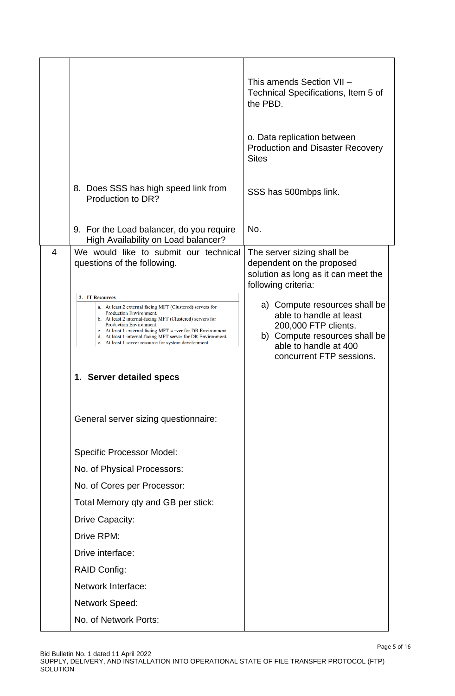|                |                                                                                                                                                                                                                                                                                                                                         | This amends Section VII -<br>Technical Specifications, Item 5 of<br>the PBD.<br>o. Data replication between<br><b>Production and Disaster Recovery</b><br><b>Sites</b>                                    |
|----------------|-----------------------------------------------------------------------------------------------------------------------------------------------------------------------------------------------------------------------------------------------------------------------------------------------------------------------------------------|-----------------------------------------------------------------------------------------------------------------------------------------------------------------------------------------------------------|
|                | 8. Does SSS has high speed link from<br>Production to DR?                                                                                                                                                                                                                                                                               | SSS has 500mbps link.                                                                                                                                                                                     |
|                | 9. For the Load balancer, do you require<br>High Availability on Load balancer?                                                                                                                                                                                                                                                         | No.                                                                                                                                                                                                       |
| $\overline{4}$ | We would like to submit our technical<br>questions of the following.<br>2. IT Resources<br>a. At least 2 external facing MFT (Clustered) servers for<br>Production Environment.<br>b. At least 2 internal-facing MFT (Clustered) servers for<br>Production Environment.<br>c. At least 1 external facing MFT server for DR Environment. | The server sizing shall be<br>dependent on the proposed<br>solution as long as it can meet the<br>following criteria:<br>a) Compute resources shall be<br>able to handle at least<br>200,000 FTP clients. |
|                | d. At least 1 internal-facing MFT server for DR Environment.<br>e. At least 1 server resource for system development.<br>1. Server detailed specs                                                                                                                                                                                       | b) Compute resources shall be<br>able to handle at 400<br>concurrent FTP sessions.                                                                                                                        |
|                |                                                                                                                                                                                                                                                                                                                                         |                                                                                                                                                                                                           |
|                | General server sizing questionnaire:                                                                                                                                                                                                                                                                                                    |                                                                                                                                                                                                           |
|                | <b>Specific Processor Model:</b>                                                                                                                                                                                                                                                                                                        |                                                                                                                                                                                                           |
|                | No. of Physical Processors:                                                                                                                                                                                                                                                                                                             |                                                                                                                                                                                                           |
|                | No. of Cores per Processor:                                                                                                                                                                                                                                                                                                             |                                                                                                                                                                                                           |
|                | Total Memory qty and GB per stick:                                                                                                                                                                                                                                                                                                      |                                                                                                                                                                                                           |
|                | Drive Capacity:                                                                                                                                                                                                                                                                                                                         |                                                                                                                                                                                                           |
|                | Drive RPM:                                                                                                                                                                                                                                                                                                                              |                                                                                                                                                                                                           |
|                | Drive interface:                                                                                                                                                                                                                                                                                                                        |                                                                                                                                                                                                           |
|                | <b>RAID Config:</b>                                                                                                                                                                                                                                                                                                                     |                                                                                                                                                                                                           |
|                | Network Interface:                                                                                                                                                                                                                                                                                                                      |                                                                                                                                                                                                           |
|                | <b>Network Speed:</b>                                                                                                                                                                                                                                                                                                                   |                                                                                                                                                                                                           |
|                | No. of Network Ports:                                                                                                                                                                                                                                                                                                                   |                                                                                                                                                                                                           |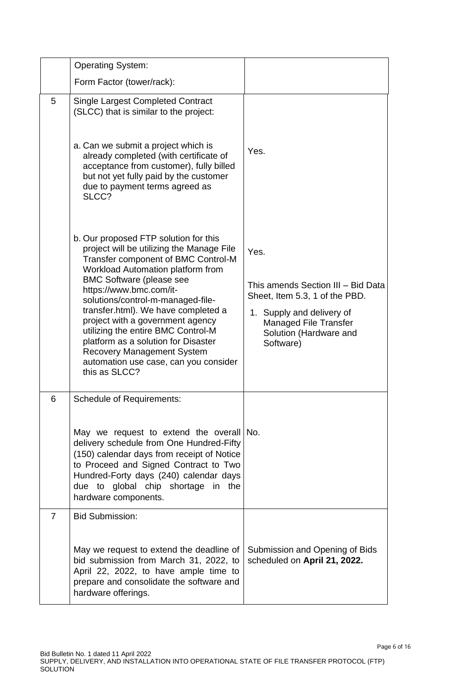|                | <b>Operating System:</b>                                                                                                                                                                                                                                                                                                                                                                                                                                                                                                 |                                                                                                                                                                                  |
|----------------|--------------------------------------------------------------------------------------------------------------------------------------------------------------------------------------------------------------------------------------------------------------------------------------------------------------------------------------------------------------------------------------------------------------------------------------------------------------------------------------------------------------------------|----------------------------------------------------------------------------------------------------------------------------------------------------------------------------------|
|                | Form Factor (tower/rack):                                                                                                                                                                                                                                                                                                                                                                                                                                                                                                |                                                                                                                                                                                  |
| 5              | <b>Single Largest Completed Contract</b><br>(SLCC) that is similar to the project:                                                                                                                                                                                                                                                                                                                                                                                                                                       |                                                                                                                                                                                  |
|                | a. Can we submit a project which is<br>already completed (with certificate of<br>acceptance from customer), fully billed<br>but not yet fully paid by the customer<br>due to payment terms agreed as<br>SLCC?                                                                                                                                                                                                                                                                                                            | Yes.                                                                                                                                                                             |
|                | b. Our proposed FTP solution for this<br>project will be utilizing the Manage File<br>Transfer component of BMC Control-M<br>Workload Automation platform from<br><b>BMC Software (please see</b><br>https://www.bmc.com/it-<br>solutions/control-m-managed-file-<br>transfer.html). We have completed a<br>project with a government agency<br>utilizing the entire BMC Control-M<br>platform as a solution for Disaster<br><b>Recovery Management System</b><br>automation use case, can you consider<br>this as SLCC? | Yes.<br>This amends Section III - Bid Data<br>Sheet, Item 5.3, 1 of the PBD.<br>1. Supply and delivery of<br><b>Managed File Transfer</b><br>Solution (Hardware and<br>Software) |
| 6              | <b>Schedule of Requirements:</b>                                                                                                                                                                                                                                                                                                                                                                                                                                                                                         |                                                                                                                                                                                  |
|                | May we request to extend the overall No.<br>delivery schedule from One Hundred-Fifty<br>(150) calendar days from receipt of Notice<br>to Proceed and Signed Contract to Two<br>Hundred-Forty days (240) calendar days<br>due to global chip shortage in the<br>hardware components.                                                                                                                                                                                                                                      |                                                                                                                                                                                  |
| $\overline{7}$ | <b>Bid Submission:</b>                                                                                                                                                                                                                                                                                                                                                                                                                                                                                                   |                                                                                                                                                                                  |
|                | May we request to extend the deadline of<br>bid submission from March 31, 2022, to<br>April 22, 2022, to have ample time to<br>prepare and consolidate the software and<br>hardware offerings.                                                                                                                                                                                                                                                                                                                           | Submission and Opening of Bids<br>scheduled on April 21, 2022.                                                                                                                   |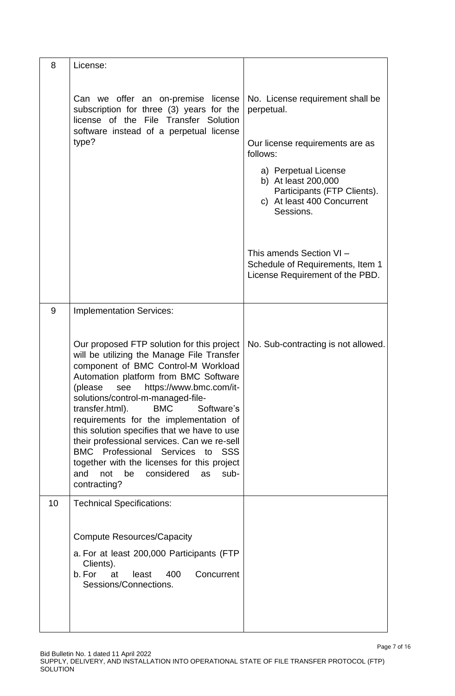| 8  | License:                                                                                                                                                                                                                                                                                                                                                                                                                                                                                                                                                                                             |                                                                                                                       |
|----|------------------------------------------------------------------------------------------------------------------------------------------------------------------------------------------------------------------------------------------------------------------------------------------------------------------------------------------------------------------------------------------------------------------------------------------------------------------------------------------------------------------------------------------------------------------------------------------------------|-----------------------------------------------------------------------------------------------------------------------|
|    | Can we offer an on-premise license<br>subscription for three (3) years for the<br>license of the File Transfer Solution<br>software instead of a perpetual license                                                                                                                                                                                                                                                                                                                                                                                                                                   | No. License requirement shall be<br>perpetual.                                                                        |
|    | type?                                                                                                                                                                                                                                                                                                                                                                                                                                                                                                                                                                                                | Our license requirements are as<br>follows:                                                                           |
|    |                                                                                                                                                                                                                                                                                                                                                                                                                                                                                                                                                                                                      | a) Perpetual License<br>b) At least 200,000<br>Participants (FTP Clients).<br>c) At least 400 Concurrent<br>Sessions. |
|    |                                                                                                                                                                                                                                                                                                                                                                                                                                                                                                                                                                                                      | This amends Section VI -<br>Schedule of Requirements, Item 1<br>License Requirement of the PBD.                       |
| 9  | <b>Implementation Services:</b>                                                                                                                                                                                                                                                                                                                                                                                                                                                                                                                                                                      |                                                                                                                       |
|    | Our proposed FTP solution for this project<br>will be utilizing the Manage File Transfer<br>component of BMC Control-M Workload<br>Automation platform from BMC Software<br>https://www.bmc.com/it-<br>(please<br>see<br>solutions/control-m-managed-file-<br><b>BMC</b><br>transfer.html).<br>Software's<br>requirements for the implementation of<br>this solution specifies that we have to use<br>their professional services. Can we re-sell<br>BMC Professional Services to SSS<br>together with the licenses for this project<br>considered<br>and<br>not<br>be<br>as<br>sub-<br>contracting? | No. Sub-contracting is not allowed.                                                                                   |
| 10 | <b>Technical Specifications:</b>                                                                                                                                                                                                                                                                                                                                                                                                                                                                                                                                                                     |                                                                                                                       |
|    | <b>Compute Resources/Capacity</b>                                                                                                                                                                                                                                                                                                                                                                                                                                                                                                                                                                    |                                                                                                                       |
|    | a. For at least 200,000 Participants (FTP<br>Clients).<br>b. For<br>400<br>Concurrent<br>at<br>least<br>Sessions/Connections.                                                                                                                                                                                                                                                                                                                                                                                                                                                                        |                                                                                                                       |
|    |                                                                                                                                                                                                                                                                                                                                                                                                                                                                                                                                                                                                      |                                                                                                                       |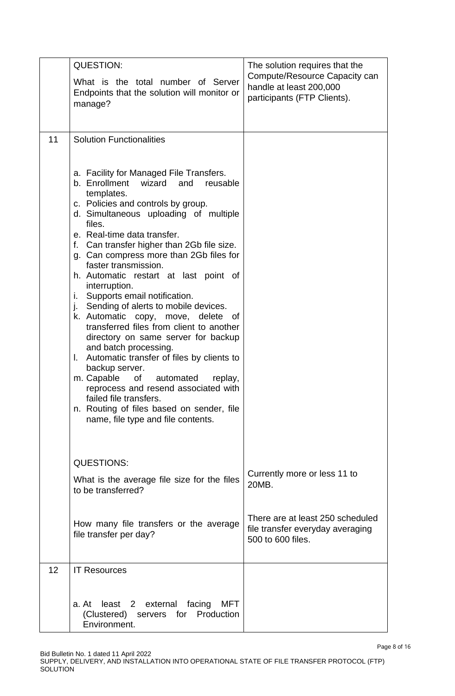|    | <b>QUESTION:</b>                                                                                                                                                                                                                                                                                                                                                                                                                                                                                                                                                                                                                                                                                                                                                                                                                                                                                                      | The solution requires that the                                                            |
|----|-----------------------------------------------------------------------------------------------------------------------------------------------------------------------------------------------------------------------------------------------------------------------------------------------------------------------------------------------------------------------------------------------------------------------------------------------------------------------------------------------------------------------------------------------------------------------------------------------------------------------------------------------------------------------------------------------------------------------------------------------------------------------------------------------------------------------------------------------------------------------------------------------------------------------|-------------------------------------------------------------------------------------------|
|    | What is the total number of Server<br>Endpoints that the solution will monitor or<br>manage?                                                                                                                                                                                                                                                                                                                                                                                                                                                                                                                                                                                                                                                                                                                                                                                                                          | Compute/Resource Capacity can<br>handle at least 200,000<br>participants (FTP Clients).   |
| 11 | <b>Solution Functionalities</b>                                                                                                                                                                                                                                                                                                                                                                                                                                                                                                                                                                                                                                                                                                                                                                                                                                                                                       |                                                                                           |
|    | a. Facility for Managed File Transfers.<br>b. Enrollment<br>wizard<br>and<br>reusable<br>templates.<br>c. Policies and controls by group.<br>d. Simultaneous uploading of multiple<br>files.<br>e. Real-time data transfer.<br>f. Can transfer higher than 2Gb file size.<br>g. Can compress more than 2Gb files for<br>faster transmission.<br>h. Automatic restart at last point of<br>interruption.<br>Supports email notification.<br>Ĺ.<br>Sending of alerts to mobile devices.<br>j.<br>k. Automatic copy, move, delete<br>0f<br>transferred files from client to another<br>directory on same server for backup<br>and batch processing.<br>Automatic transfer of files by clients to<br>L.<br>backup server.<br>m. Capable<br>of<br>automated<br>replay,<br>reprocess and resend associated with<br>failed file transfers.<br>n. Routing of files based on sender, file<br>name, file type and file contents. |                                                                                           |
|    | <b>QUESTIONS:</b><br>What is the average file size for the files<br>to be transferred?                                                                                                                                                                                                                                                                                                                                                                                                                                                                                                                                                                                                                                                                                                                                                                                                                                | Currently more or less 11 to<br>20MB.                                                     |
|    | How many file transfers or the average<br>file transfer per day?                                                                                                                                                                                                                                                                                                                                                                                                                                                                                                                                                                                                                                                                                                                                                                                                                                                      | There are at least 250 scheduled<br>file transfer everyday averaging<br>500 to 600 files. |
| 12 | <b>IT Resources</b>                                                                                                                                                                                                                                                                                                                                                                                                                                                                                                                                                                                                                                                                                                                                                                                                                                                                                                   |                                                                                           |
|    | least 2<br>external<br>facing<br>MFT<br>a. At<br>(Clustered)<br>Production<br>servers<br>for<br>Environment.                                                                                                                                                                                                                                                                                                                                                                                                                                                                                                                                                                                                                                                                                                                                                                                                          |                                                                                           |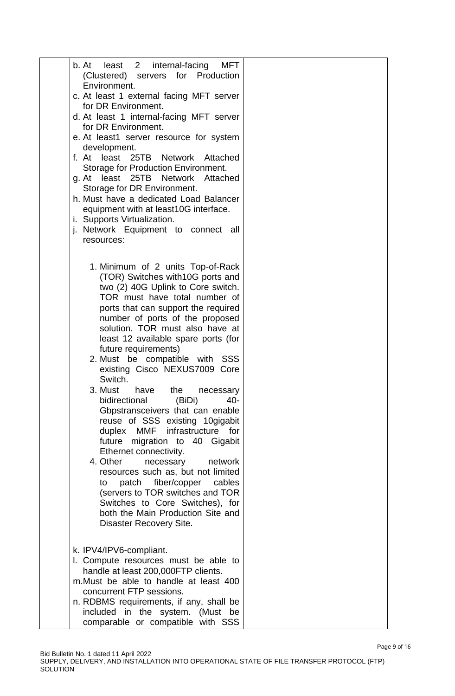| b. At<br>least 2<br>internal-facing<br>MFT                               |  |
|--------------------------------------------------------------------------|--|
| (Clustered) servers for Production<br>Environment.                       |  |
| c. At least 1 external facing MFT server                                 |  |
| for DR Environment.                                                      |  |
| d. At least 1 internal-facing MFT server                                 |  |
| for DR Environment.                                                      |  |
| e. At least1 server resource for system                                  |  |
| development.                                                             |  |
| f. At least 25TB Network Attached                                        |  |
| Storage for Production Environment.<br>g. At least 25TB Network Attached |  |
| Storage for DR Environment.                                              |  |
| h. Must have a dedicated Load Balancer                                   |  |
| equipment with at least10G interface.                                    |  |
| i. Supports Virtualization.                                              |  |
| j. Network Equipment to connect all                                      |  |
| resources:                                                               |  |
|                                                                          |  |
| 1. Minimum of 2 units Top-of-Rack                                        |  |
| (TOR) Switches with 10G ports and                                        |  |
| two (2) 40G Uplink to Core switch.                                       |  |
| TOR must have total number of                                            |  |
| ports that can support the required<br>number of ports of the proposed   |  |
| solution. TOR must also have at                                          |  |
| least 12 available spare ports (for                                      |  |
| future requirements)                                                     |  |
| 2. Must be compatible with SSS                                           |  |
| existing Cisco NEXUS7009 Core                                            |  |
| Switch.                                                                  |  |
| have<br>the<br>3. Must<br>necessary                                      |  |
| bidirectional<br>40-<br>(BiDi)<br>Gbpstransceivers that can enable       |  |
| reuse of SSS existing 10gigabit                                          |  |
| MMF infrastructure for<br>duplex                                         |  |
| future migration to 40 Gigabit                                           |  |
| Ethernet connectivity.                                                   |  |
| 4. Other<br>network<br>necessary                                         |  |
| resources such as, but not limited                                       |  |
| patch fiber/copper<br>cables<br>to<br>(servers to TOR switches and TOR   |  |
| Switches to Core Switches), for                                          |  |
| both the Main Production Site and                                        |  |
| Disaster Recovery Site.                                                  |  |
|                                                                          |  |
| k. IPV4/IPV6-compliant.                                                  |  |
| I. Compute resources must be able to                                     |  |
| handle at least 200,000FTP clients.                                      |  |
| m. Must be able to handle at least 400                                   |  |
| concurrent FTP sessions.                                                 |  |
| n. RDBMS requirements, if any, shall be                                  |  |
| included in the system. (Must be                                         |  |
| comparable or compatible with SSS                                        |  |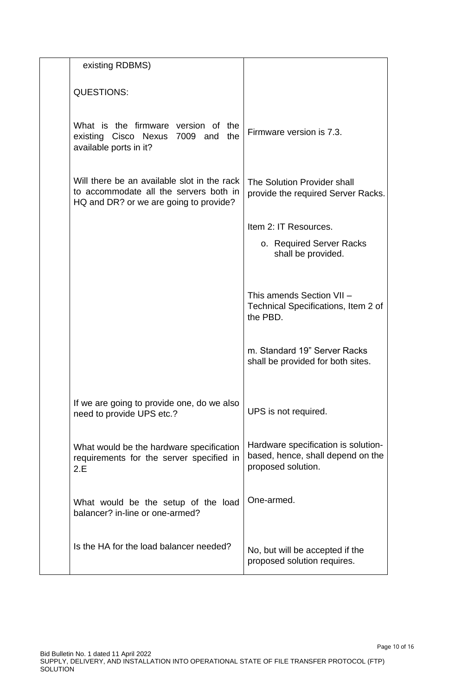| existing RDBMS)                                                                                                                 |                                                                                                |
|---------------------------------------------------------------------------------------------------------------------------------|------------------------------------------------------------------------------------------------|
| <b>QUESTIONS:</b>                                                                                                               |                                                                                                |
| What is the firmware version of the<br>existing Cisco Nexus 7009 and<br>the<br>available ports in it?                           | Firmware version is 7.3.                                                                       |
| Will there be an available slot in the rack<br>to accommodate all the servers both in<br>HQ and DR? or we are going to provide? | The Solution Provider shall<br>provide the required Server Racks.                              |
|                                                                                                                                 | Item 2: IT Resources.                                                                          |
|                                                                                                                                 | o. Required Server Racks<br>shall be provided.                                                 |
|                                                                                                                                 | This amends Section VII -<br>Technical Specifications, Item 2 of<br>the PBD.                   |
|                                                                                                                                 | m. Standard 19" Server Racks<br>shall be provided for both sites.                              |
| If we are going to provide one, do we also<br>need to provide UPS etc.?                                                         | UPS is not required.                                                                           |
| What would be the hardware specification<br>requirements for the server specified in<br>2.E                                     | Hardware specification is solution-<br>based, hence, shall depend on the<br>proposed solution. |
| What would be the setup of the load<br>balancer? in-line or one-armed?                                                          | One-armed.                                                                                     |
| Is the HA for the load balancer needed?                                                                                         | No, but will be accepted if the<br>proposed solution requires.                                 |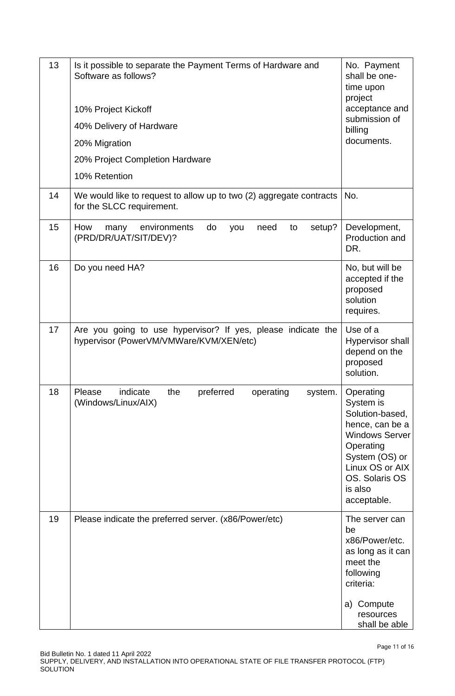| 13 | Is it possible to separate the Payment Terms of Hardware and<br>Software as follows?<br>10% Project Kickoff<br>40% Delivery of Hardware<br>20% Migration<br>20% Project Completion Hardware<br>10% Retention | No. Payment<br>shall be one-<br>time upon<br>project<br>acceptance and<br>submission of<br>billing<br>documents.                                                                    |
|----|--------------------------------------------------------------------------------------------------------------------------------------------------------------------------------------------------------------|-------------------------------------------------------------------------------------------------------------------------------------------------------------------------------------|
| 14 | We would like to request to allow up to two (2) aggregate contracts<br>for the SLCC requirement.                                                                                                             | No.                                                                                                                                                                                 |
| 15 | How<br>do<br>setup?<br>environments<br>need<br>to<br>you<br>many<br>(PRD/DR/UAT/SIT/DEV)?                                                                                                                    | Development,<br>Production and<br>DR.                                                                                                                                               |
| 16 | Do you need HA?                                                                                                                                                                                              | No, but will be<br>accepted if the<br>proposed<br>solution<br>requires.                                                                                                             |
| 17 | Are you going to use hypervisor? If yes, please indicate the<br>hypervisor (PowerVM/VMWare/KVM/XEN/etc)                                                                                                      | Use of a<br>Hypervisor shall<br>depend on the<br>proposed<br>solution.                                                                                                              |
| 18 | Please<br>indicate<br>the<br>preferred<br>operating<br>system.<br>(Windows/Linux/AIX)                                                                                                                        | Operating<br>System is<br>Solution-based,<br>hence, can be a<br><b>Windows Server</b><br>Operating<br>System (OS) or<br>Linux OS or AIX<br>OS. Solaris OS<br>is also<br>acceptable. |
| 19 | Please indicate the preferred server. (x86/Power/etc)                                                                                                                                                        | The server can<br>be<br>x86/Power/etc.<br>as long as it can<br>meet the<br>following<br>criteria:<br>a) Compute<br>resources<br>shall be able                                       |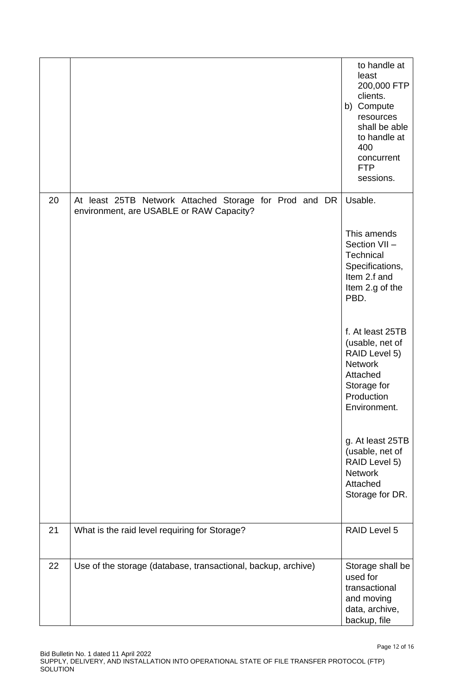|    |                                                                                                    | to handle at<br>least<br>200,000 FTP<br>clients.<br>b) Compute<br>resources<br>shall be able<br>to handle at<br>400<br>concurrent<br><b>FTP</b><br>sessions. |
|----|----------------------------------------------------------------------------------------------------|--------------------------------------------------------------------------------------------------------------------------------------------------------------|
| 20 | At least 25TB Network Attached Storage for Prod and DR<br>environment, are USABLE or RAW Capacity? | Usable.                                                                                                                                                      |
|    |                                                                                                    | This amends<br>Section VII -<br>Technical<br>Specifications,<br>Item 2.f and<br>Item 2.g of the<br>PBD.                                                      |
|    |                                                                                                    | f. At least 25TB<br>(usable, net of<br>RAID Level 5)<br><b>Network</b><br>Attached<br>Storage for<br>Production<br>Environment.                              |
|    |                                                                                                    | g. At least 25TB<br>(usable, net of<br>RAID Level 5)<br><b>Network</b><br>Attached<br>Storage for DR.                                                        |
| 21 | What is the raid level requiring for Storage?                                                      | RAID Level 5                                                                                                                                                 |
| 22 | Use of the storage (database, transactional, backup, archive)                                      | Storage shall be<br>used for<br>transactional<br>and moving<br>data, archive,<br>backup, file                                                                |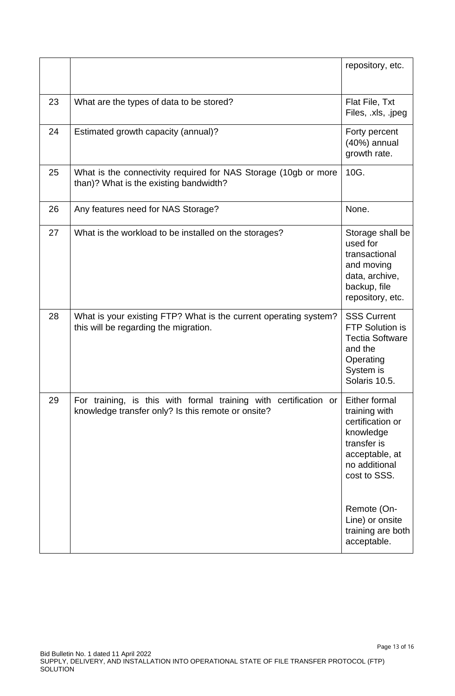|    |                                                                                                                        | repository, etc.                                                                                                                  |  |
|----|------------------------------------------------------------------------------------------------------------------------|-----------------------------------------------------------------------------------------------------------------------------------|--|
| 23 | What are the types of data to be stored?                                                                               | Flat File, Txt<br>Files, .xls, .jpeg                                                                                              |  |
| 24 | Estimated growth capacity (annual)?                                                                                    | Forty percent<br>(40%) annual<br>growth rate.                                                                                     |  |
| 25 | What is the connectivity required for NAS Storage (10gb or more<br>than)? What is the existing bandwidth?              | 10G.                                                                                                                              |  |
| 26 | Any features need for NAS Storage?                                                                                     | None.                                                                                                                             |  |
| 27 | What is the workload to be installed on the storages?                                                                  | Storage shall be<br>used for<br>transactional<br>and moving<br>data, archive,<br>backup, file<br>repository, etc.                 |  |
| 28 | What is your existing FTP? What is the current operating system?<br>this will be regarding the migration.              | <b>SSS Current</b><br>FTP Solution is<br><b>Tectia Software</b><br>and the<br>Operating<br>System is<br>Solaris 10.5.             |  |
| 29 | For training, is this with formal training with certification or<br>knowledge transfer only? Is this remote or onsite? | Either formal<br>training with<br>certification or<br>knowledge<br>transfer is<br>acceptable, at<br>no additional<br>cost to SSS. |  |
|    |                                                                                                                        | Remote (On-<br>Line) or onsite<br>training are both<br>acceptable.                                                                |  |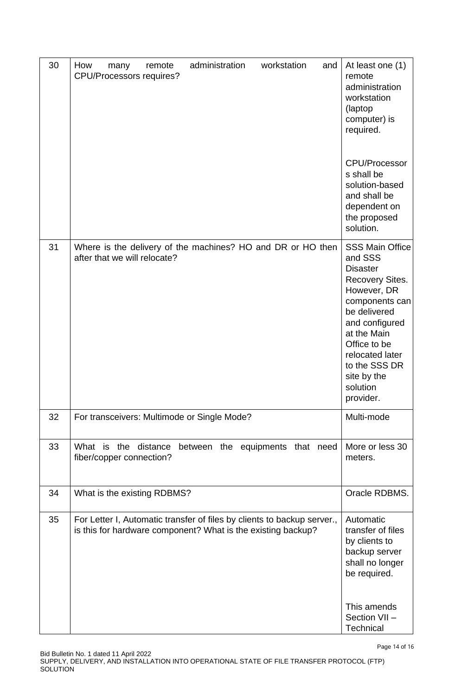| 30 | administration<br>workstation<br>How<br>remote<br>and<br>many<br><b>CPU/Processors requires?</b>                                        | At least one (1)<br>remote<br>administration<br>workstation<br>(laptop)<br>computer) is<br>required.<br><b>CPU/Processor</b>                                                                                                                                 |
|----|-----------------------------------------------------------------------------------------------------------------------------------------|--------------------------------------------------------------------------------------------------------------------------------------------------------------------------------------------------------------------------------------------------------------|
|    |                                                                                                                                         | s shall be<br>solution-based<br>and shall be<br>dependent on<br>the proposed<br>solution.                                                                                                                                                                    |
| 31 | Where is the delivery of the machines? HO and DR or HO then<br>after that we will relocate?                                             | <b>SSS Main Office</b><br>and SSS<br><b>Disaster</b><br><b>Recovery Sites.</b><br>However, DR<br>components can<br>be delivered<br>and configured<br>at the Main<br>Office to be<br>relocated later<br>to the SSS DR<br>site by the<br>solution<br>provider. |
| 32 | For transceivers: Multimode or Single Mode?                                                                                             | Multi-mode                                                                                                                                                                                                                                                   |
| 33 | What is the distance<br>between the equipments that need<br>fiber/copper connection?                                                    | More or less 30<br>meters.                                                                                                                                                                                                                                   |
| 34 | What is the existing RDBMS?                                                                                                             | Oracle RDBMS.                                                                                                                                                                                                                                                |
| 35 | For Letter I, Automatic transfer of files by clients to backup server.,<br>is this for hardware component? What is the existing backup? | Automatic<br>transfer of files<br>by clients to<br>backup server<br>shall no longer<br>be required.<br>This amends<br>Section VII-<br>Technical                                                                                                              |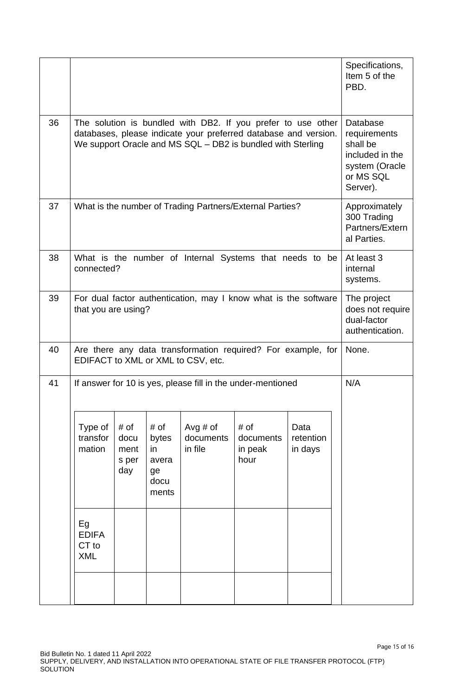|                                           |                                                                                                    |                                                      |                                    |                                      |                              | Specifications,<br>Item 5 of the<br>PBD.                                                                                                                                                                                                                                                                                                                                                                                                                                                                                |
|-------------------------------------------|----------------------------------------------------------------------------------------------------|------------------------------------------------------|------------------------------------|--------------------------------------|------------------------------|-------------------------------------------------------------------------------------------------------------------------------------------------------------------------------------------------------------------------------------------------------------------------------------------------------------------------------------------------------------------------------------------------------------------------------------------------------------------------------------------------------------------------|
|                                           | Database<br>requirements<br>shall be<br>included in the<br>system (Oracle<br>or MS SQL<br>Server). |                                                      |                                    |                                      |                              |                                                                                                                                                                                                                                                                                                                                                                                                                                                                                                                         |
|                                           | Approximately<br>300 Trading<br>Partners/Extern<br>al Parties.                                     |                                                      |                                    |                                      |                              |                                                                                                                                                                                                                                                                                                                                                                                                                                                                                                                         |
|                                           | At least 3<br>internal<br>systems.                                                                 |                                                      |                                    |                                      |                              |                                                                                                                                                                                                                                                                                                                                                                                                                                                                                                                         |
|                                           | The project<br>does not require<br>dual-factor<br>authentication.                                  |                                                      |                                    |                                      |                              |                                                                                                                                                                                                                                                                                                                                                                                                                                                                                                                         |
|                                           | None.                                                                                              |                                                      |                                    |                                      |                              |                                                                                                                                                                                                                                                                                                                                                                                                                                                                                                                         |
|                                           | N/A                                                                                                |                                                      |                                    |                                      |                              |                                                                                                                                                                                                                                                                                                                                                                                                                                                                                                                         |
| Type of<br>transfor<br>mation             | # of<br>docu<br>ment<br>s per<br>day                                                               | # of<br>bytes<br>in.<br>avera<br>ge<br>docu<br>ments | Avg $#$ of<br>documents<br>in file | # of<br>documents<br>in peak<br>hour | Data<br>retention<br>in days |                                                                                                                                                                                                                                                                                                                                                                                                                                                                                                                         |
| Eg<br><b>EDIFA</b><br>CT to<br><b>XML</b> |                                                                                                    |                                                      |                                    |                                      |                              |                                                                                                                                                                                                                                                                                                                                                                                                                                                                                                                         |
|                                           |                                                                                                    | connected?                                           | that you are using?                | EDIFACT to XML or XML to CSV, etc.   |                              | The solution is bundled with DB2. If you prefer to use other<br>databases, please indicate your preferred database and version.<br>We support Oracle and MS SQL - DB2 is bundled with Sterling<br>What is the number of Trading Partners/External Parties?<br>What is the number of Internal Systems that needs to be<br>For dual factor authentication, may I know what is the software<br>Are there any data transformation required? For example, for<br>If answer for 10 is yes, please fill in the under-mentioned |